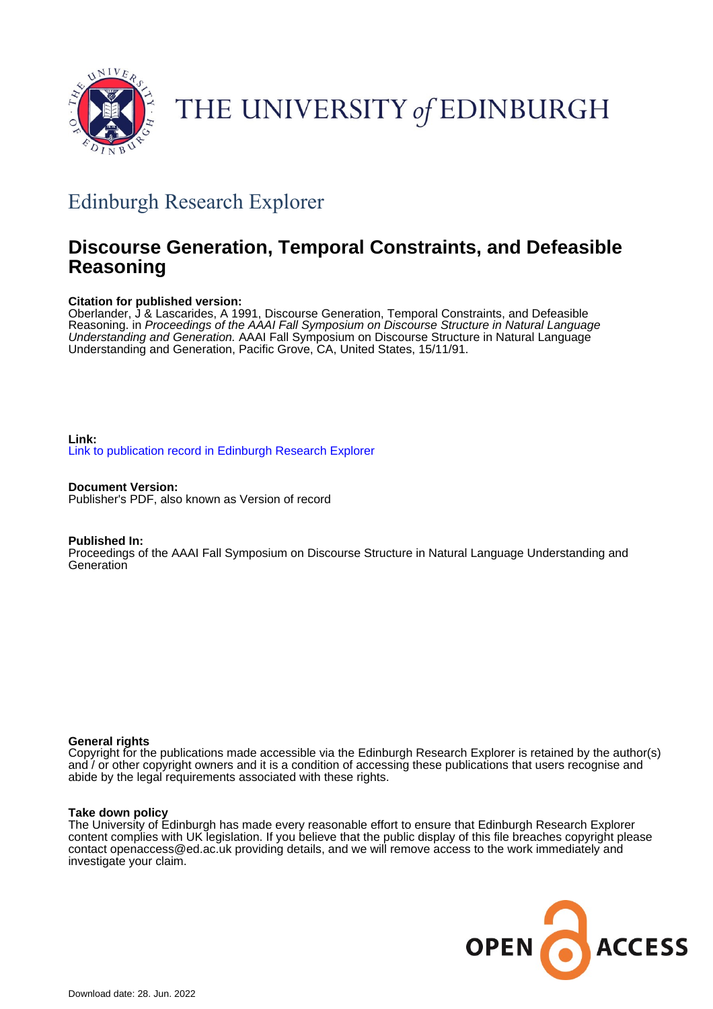

# THE UNIVERSITY of EDINBURGH

## Edinburgh Research Explorer

## **Discourse Generation, Temporal Constraints, and Defeasible Reasoning**

#### **Citation for published version:**

Oberlander, J & Lascarides, A 1991, Discourse Generation, Temporal Constraints, and Defeasible Reasoning. in Proceedings of the AAAI Fall Symposium on Discourse Structure in Natural Language Understanding and Generation. AAAI Fall Symposium on Discourse Structure in Natural Language Understanding and Generation, Pacific Grove, CA, United States, 15/11/91.

#### **Link:** [Link to publication record in Edinburgh Research Explorer](https://www.research.ed.ac.uk/en/publications/e1af75d9-2340-4670-8081-bc9b27be18b6)

**Document Version:** Publisher's PDF, also known as Version of record

#### **Published In:**

Proceedings of the AAAI Fall Symposium on Discourse Structure in Natural Language Understanding and **Generation** 

#### **General rights**

Copyright for the publications made accessible via the Edinburgh Research Explorer is retained by the author(s) and / or other copyright owners and it is a condition of accessing these publications that users recognise and abide by the legal requirements associated with these rights.

#### **Take down policy**

The University of Edinburgh has made every reasonable effort to ensure that Edinburgh Research Explorer content complies with UK legislation. If you believe that the public display of this file breaches copyright please contact openaccess@ed.ac.uk providing details, and we will remove access to the work immediately and investigate your claim.

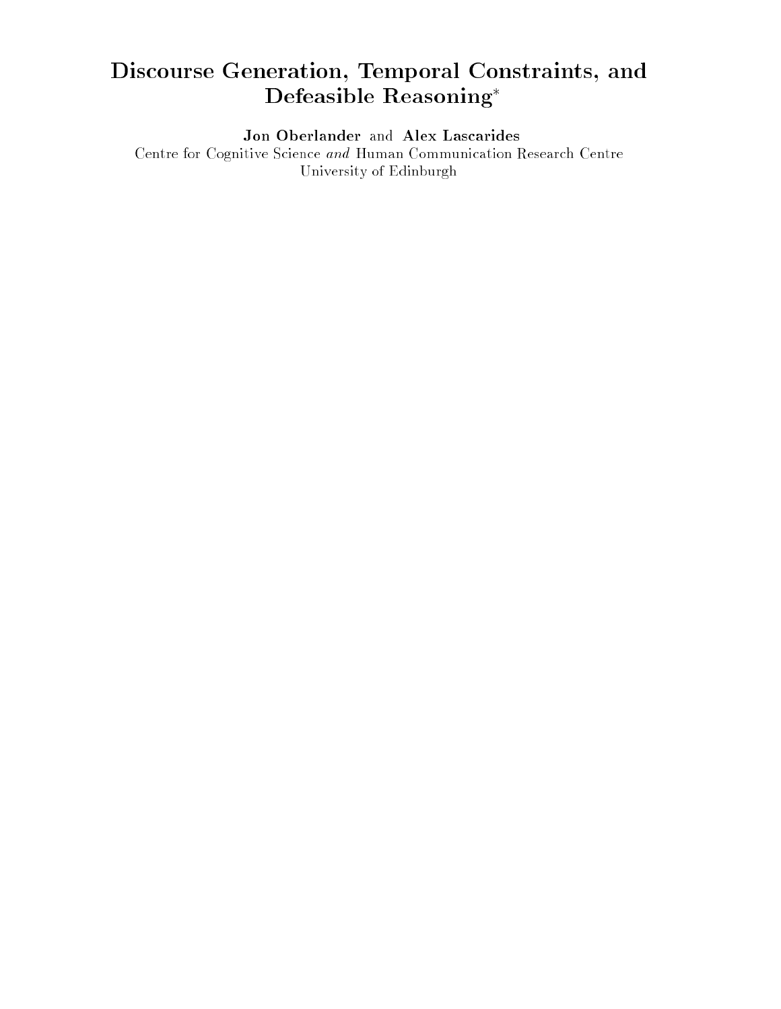## Discourse Generation, Temporal Constraints, and Defeasible Reasoning

Jon Oberlander and Alex Lascarides

Centre for Cognitive Science and Human Communication Research Centre University of Edinburgh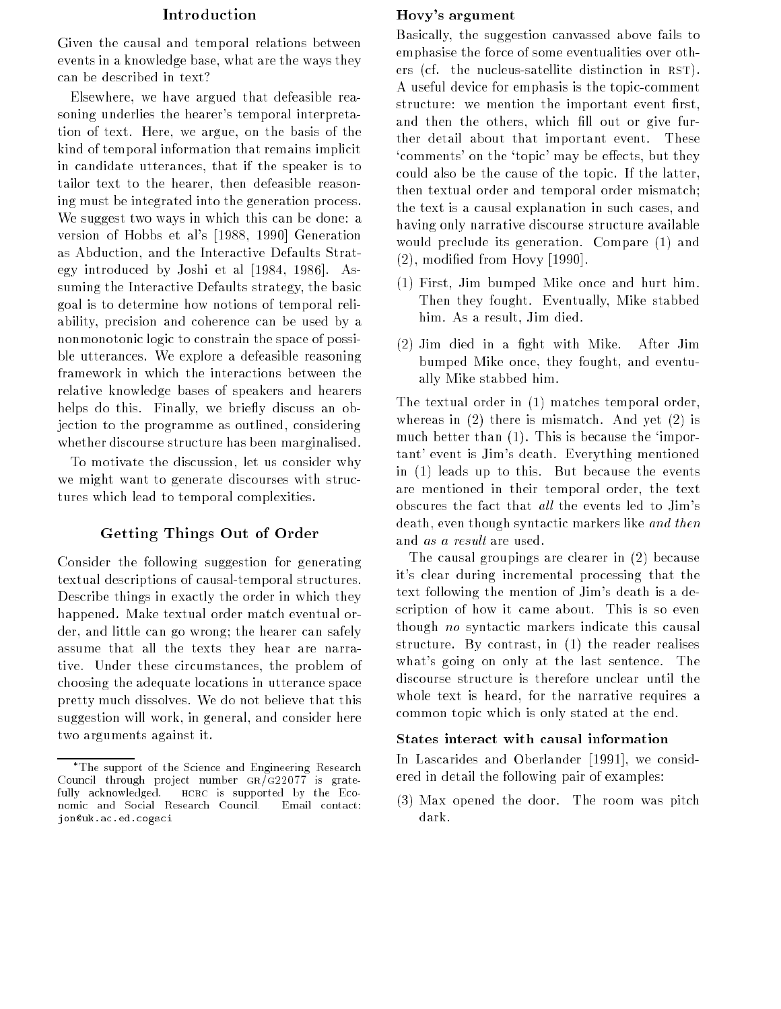#### Introduction

Given the causal and temporal relations between events in a knowledge base, what are the ways they can be described in text?

Elsewhere, we have argued that defeasible reasoning underlies the hearer's temporal interpretation of text. Here, we argue, on the basis of the kind of temporal information that remains implicit in candidate utterances, that if the speaker is to tailor text to the hearer, then defeasible reasoning must be integrated into the generation process. We suggest two ways in which this can be done: a version of Hobbs et al's [1988, 1990] Generation as Abduction, and the Interactive Defaults Strategy introduced by Joshi et al [1984, 1986]. Assuming the Interactive Defaults strategy, the basic goal is to determine how notions of temporal reliability, precision and coherence can be used by a nonmonotonic logic to constrain the space of possible utterances. We explore a defeasible reasoning framework in which the interactions between the relative knowledge bases of speakers and hearers helps do this. Finally, we briefly discuss an objection to the programme as outlined, considering whether discourse structure has been marginalised.

To motivate the discussion, let us consider why we might want to generate discourses with structures which lead to temporal complexities.

#### Getting Things Out of Order

Consider the following suggestion for generating textual descriptions of causal-temporal structures. Describe things in exactly the order in which they happened. Make textual order match eventual order, and little can go wrong; the hearer can safely assume that all the texts they hear are narrative. Under these circumstances, the problem of choosing the adequate locations in utterance space pretty much dissolves. We do not believe that this suggestion will work, in general, and consider here two arguments against it.

#### Hovy's argument

Basically, the suggestion canvassed above fails to emphasise the force of some eventualities over others (cf. the nucleus-satellite distinction in RST). A useful device for emphasis is the topic-comment structure: we mention the important event first, and then the others, which fill out or give further detail about that important event. These 'comments' on the 'topic' may be effects, but they could also be the cause of the topic. If the latter, then textual order and temporal order mismatch; the text is a causal explanation in such cases, and having only narrative discourse structure available would preclude its generation. Compare (1) and (2), modied from Hovy [1990].

- (1) First, Jim bumped Mike once and hurt him. Then they fought. Eventually, Mike stabbed him. As a result, Jim died.
- (2) Jim died in a ght with Mike. After Jim bumped Mike once, they fought, and eventually Mike stabbed him.

The textual order in (1) matches temporal order, whereas in (2) there is mismatch. And yet (2) is much better than (1). This is because the 'important' event is Jim's death. Everything mentioned in (1) leads up to this. But because the events are mentioned in their temporal order, the text obscures the fact that all the events led to Jim's death, even though syntactic markers like and then and as a result are used.

The causal groupings are clearer in (2) because it's clear during incremental processing that the text following the mention of Jim's death is a description of how it came about. This is so even though no syntactic markers indicate this causal structure. By contrast, in (1) the reader realises what's going on only at the last sentence. The discourse structure is therefore unclear until the whole text is heard, for the narrative requires a common topic which is only stated at the end.

#### States interact with causal information

In Lascarides and Oberlander [1991], we considered in detail the following pair of examples:

(3) Max opened the door. The room was pitch dark.

The support of the Science and Engineering Research Council through project number  $GR/G22077$  is gratefully acknowledged. HCRC is supported by the Economic and Social Research Council. Email contact: jon@uk.ac.ed.cogsci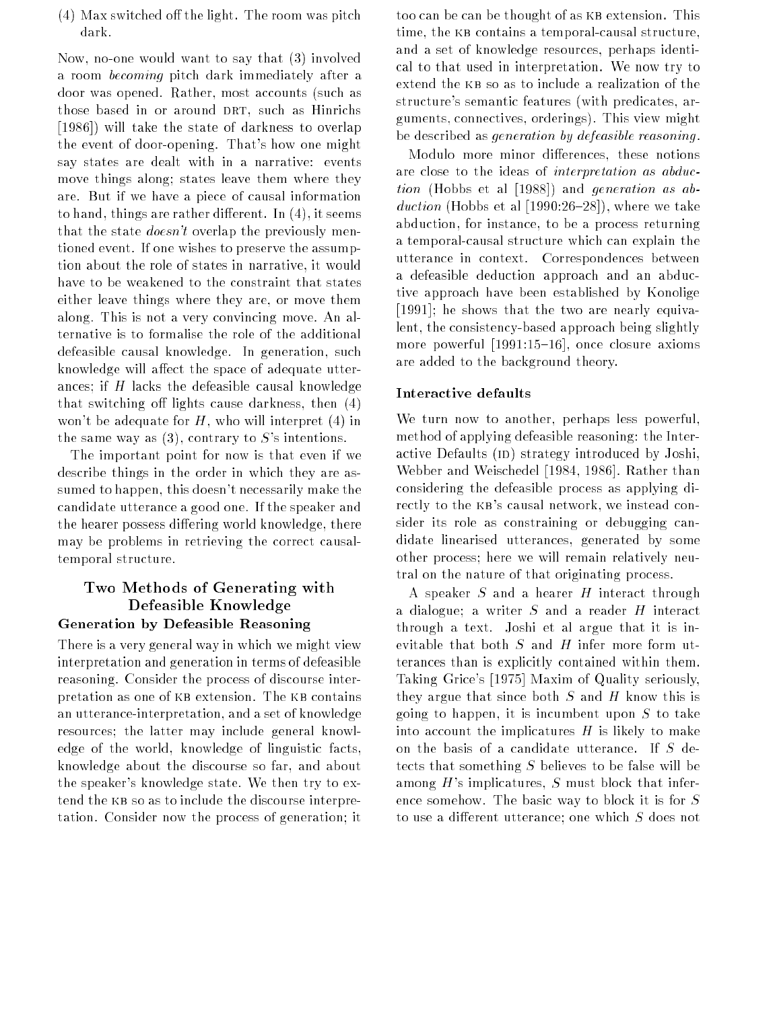$(4)$  Max switched off the light. The room was pitch dark.

Now, no-one would want to say that (3) involved a room becoming pitch dark immediately after a door was opened. Rather, most accounts (such as those based in or around DRT, such as Hinrichs [1986]) will take the state of darkness to overlap the event of door-opening. That's how one might say states are dealt with in a narrative: events move things along; states leave them where they are. But if we have a piece of causal information to hand, things are rather different. In  $(4)$ , it seems that the state *doesn't* overlap the previously mentioned event. If one wishes to preserve the assumption about the role of states in narrative, it would have to be weakened to the constraint that states either leave things where they are, or move them along. This is not a very convincing move. An alternative is to formalise the role of the additional defeasible causal knowledge. In generation, such knowledge will affect the space of adequate utterances; if  $H$  lacks the defeasible causal knowledge that switching off lights cause darkness, then  $(4)$ won't be adequate for  $H$ , who will interpret (4) in the same way as  $(3)$ , contrary to S's intentions.

The important point for now is that even if we describe things in the order in which they are assumed to happen, this doesn't necessarily make the candidate utterance a good one. If the speaker and the hearer possess differing world knowledge, there may be problems in retrieving the correct causaltemporal structure.

### Two Methods of Generating with Defeasible Knowledge

#### Generation by Defeasible Reasoning

There is a very general way in which we might view interpretation and generation in terms of defeasible reasoning. Consider the process of discourse interpretation as one of KB extension. The KB contains an utterance-interpretation, and a set of knowledge resources; the latter may include general knowledge of the world, knowledge of linguistic facts, knowledge about the discourse so far, and about the speaker's knowledge state. We then try to extend the kb so as to include the discourse interpretation. Consider now the process of generation; it too can be can be thought of as KB extension. This time, the kb contains a temporal-causal structure, and a set of knowledge resources, perhaps identical to that used in interpretation. We now try to extend the kb so as to include a realization of the structure's semantic features (with predicates, arguments, connectives, orderings). This view might be described as generation by defeasible reasoning .

Modulo more minor differences, these notions are close to the ideas of interpretation as abduction (Louis et al [1989]) was a generation as abduction (Hobbs et al 1990:26; Hobbs et al., where we take abduction, for instance, to be a process returning a temporal-causal structure which can explain the utterance in context. Correspondences between a defeasible deduction approach and an abductive approach have been established by Konolige [1991]; he shows that the two are nearly equivalent, the consistency-based approach being slightly more powerful  $[1991:15–16]$ , once closure axioms are added to the background theory.

#### Interactive defaults

We turn now to another, perhaps less powerful, method of applying defeasible reasoning: the Interactive Defaults (ID) strategy introduced by Joshi, Webber and Weischedel [1984, 1986]. Rather than considering the defeasible process as applying directly to the kb's causal network, we instead consider its role as constraining or debugging candidate linearised utterances, generated by some other process; here we will remain relatively neutral on the nature of that originating process.

A speaker  $S$  and a hearer  $H$  interact through a dialogue; a writer  $S$  and a reader  $H$  interact through a text. Joshi et al argue that it is inevitable that both  $S$  and  $H$  infer more form utterances than is explicitly contained within them. Taking Grice's [1975] Maxim of Quality seriously, they argue that since both  $S$  and  $H$  know this is going to happen, it is incumbent upon  $S$  to take into account the implicatures  $H$  is likely to make on the basis of a candidate utterance. If <sup>S</sup> detects that something  $S$  believes to be false will be among  $H$ 's implicatures,  $S$  must block that inference somehow. The basic way to block it is for <sup>S</sup> to use a different utterance; one which  $S$  does not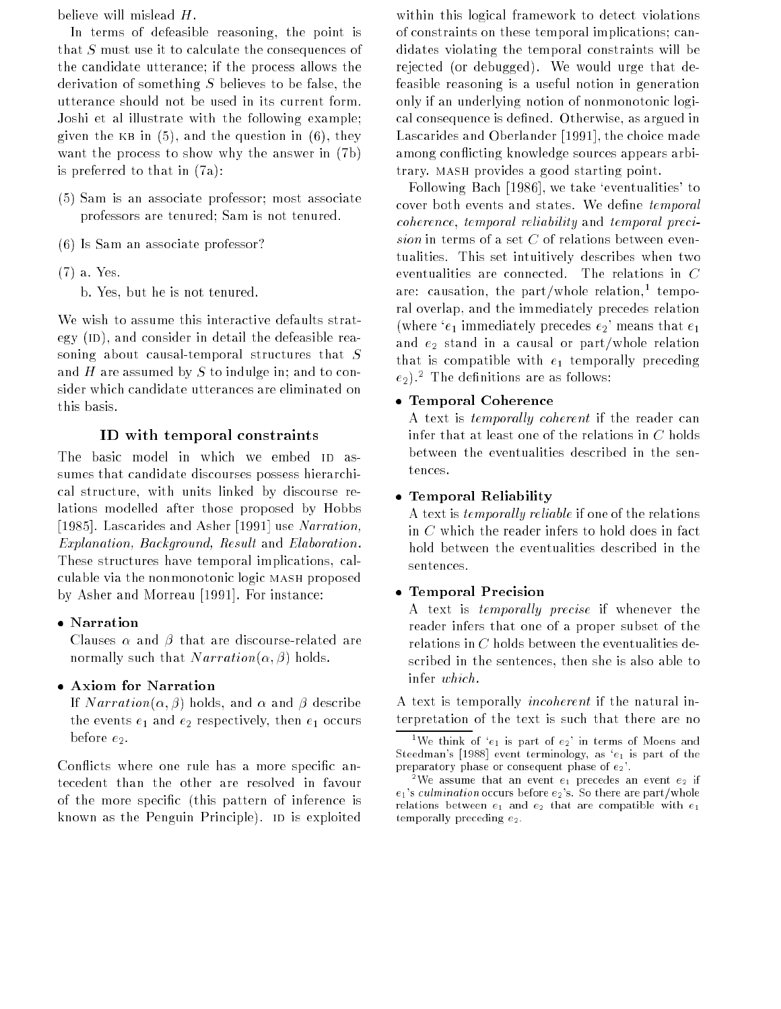believe will mislead H.

In terms of defeasible reasoning, the point is that <sup>S</sup> must use it to calculate the consequences of the candidate utterance; if the process allows the derivation of something  $S$  believes to be false, the utterance should not be used in its current form. Joshi et al illustrate with the following example; given the KB in  $(5)$ , and the question in  $(6)$ , they want the process to show why the answer in (7b) is preferred to that in (7a):

- (5) Sam is an associate professor; most associate professors are tenured; Sam is not tenured.
- (6) Is Sam an associate professor?
- (7) a. Yes.
	- b. Yes, but he is not tenured.

We wish to assume this interactive defaults strategy  $(ID)$ , and consider in detail the defeasible reasoning about causal-temporal structures that  $S$ and  $H$  are assumed by  $S$  to indulge in; and to consider which candidate utterances are eliminated on this basis.

#### ID with temporal constraints

The basic model in which we embed ID assumes that candidate discourses possess hierarchical structure, with units linked by discourse relations modelled after those proposed by Hobbs [1985]. Lascarides and Asher [1991] use Narration, Explanation, Background, Result and Elaboration. These structures have temporal implications, calculable via the nonmonotonic logic mash proposed by Asher and Morreau [1991]. For instance:

#### Narration

Clauses  $\alpha$  and  $\beta$  that are discourse-related are normally such that  $Narration(\alpha, \beta)$  holds.

#### Axiom for Narration

If  $Narration(\alpha, \beta)$  holds, and  $\alpha$  and  $\beta$  describe the events  $e_1$  and  $e_2$  respectively, then  $e_1$  occurs before  $e_2$ .

Conflicts where one rule has a more specific antecedent than the other are resolved in favour of the more specic (this pattern of inference is known as the Penguin Principle). ID is exploited

within this logical framework to detect violations of constraints on these temporal implications; candidates violating the temporal constraints will be rejected (or debugged). We would urge that defeasible reasoning is a useful notion in generation only if an underlying notion of nonmonotonic logical consequence is defined. Otherwise, as argued in Lascarides and Oberlander [1991], the choice made among conflicting knowledge sources appears arbitrary. mash provides a good starting point.

Following Bach [1986], we take `eventualities' to cover both events and states. We define *temporal* coherence, temporal reliability and temporal precitualities. This set intuitively describes when two eventualities are connected. The relations in <sup>C</sup> are: causation, the part/whole relation, temporal overlap, and the immediately precedes relation (where ' $e_1$  immediately precedes  $e_2$ ' means that  $e_1$ and  $e_2$  stand in a causal or part/whole relation that is compatible with  $e_1$  temporally preceding  $e_2$ ).<sup>2</sup> The definitions are as follows:

#### Temporal Coherence

A text is temporally coherent if the reader can infer that at least one of the relations in  $C$  holds between the eventualities described in the sentences.

#### Temporal Reliability

A text is temporally reliable if one of the relations in <sup>C</sup> which the reader infers to hold does in fact hold between the eventualities described in the sentences.

#### Temporal Precision

A text is temporally precise if whenever the reader infers that one of a proper subset of the relations in  $C$  holds between the eventualities described in the sentences, then she is also able to infer which.

A text is temporally incoherent if the natural interpretation of the text is such that there are no

 $1\,\mathrm{We}\,$  think of  $\,{}^{\dot{}}e_{1}\,$  is part of  $\,e_{2}\,{}^{\dot{}}\,$  in terms of Moens and Steedman's [1988] event terminology, as  $'e_1$  is part of the preparatory phase or consequent phase of  $e_2$ .

<sup>&</sup>lt;sup>2</sup>We assume that an event  $e_1$  precedes an event  $e_2$  if  $e_1$ 's culmination occurs before  $e_2$ 's. So there are part/whole relations between  $e_1$  and  $e_2$  that are compatible with  $e_1$ temporally preceding  $e_2$ .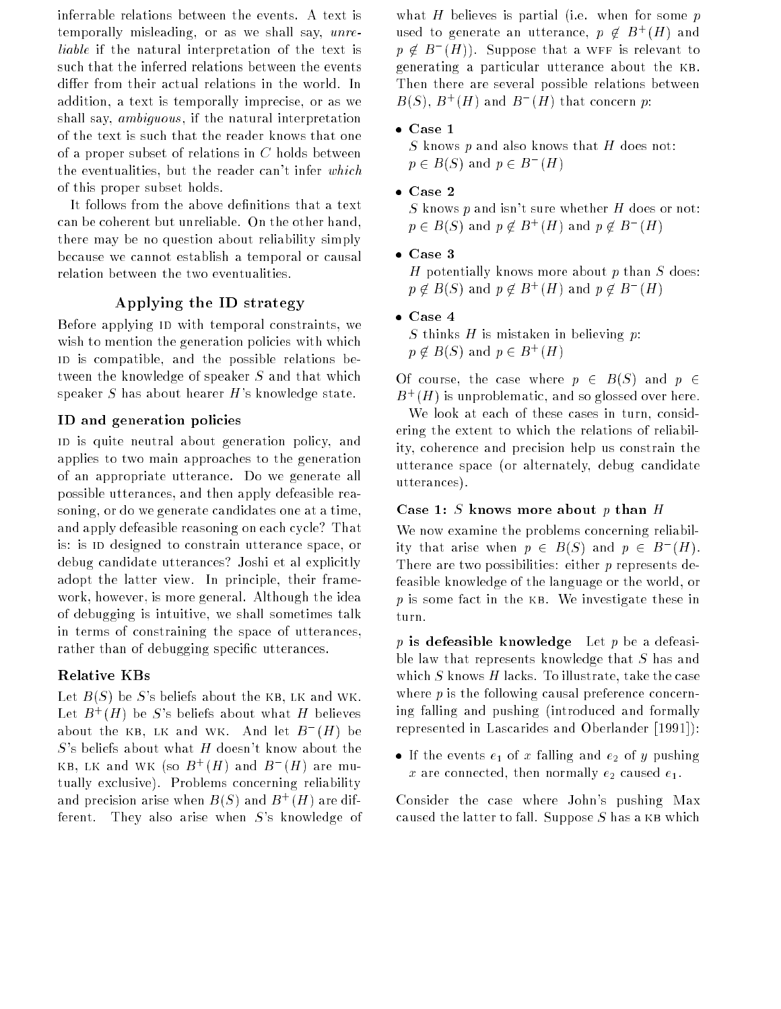inferrable relations between the events. A text is temporally misleading, or as we shall say, unreliable if the natural interpretation of the text is such that the inferred relations between the events differ from their actual relations in the world. In addition, a text is temporally imprecise, or as we shall say, ambiguous , if the natural interpretation of the text is such that the reader knows that one of a proper subset of relations in  $C$  holds between the eventualities, but the reader can't infer which of this proper subset holds.

It follows from the above definitions that a text can be coherent but unreliable. On the other hand, there may be no question about reliability simply because we cannot establish a temporal or causal relation between the two eventualities.

#### Applying the ID strategy

Before applying ID with temporal constraints, we wish to mention the generation policies with which ID is compatible, and the possible relations between the knowledge of speaker <sup>S</sup> and that which speaker  $S$  has about hearer  $H$ 's knowledge state.

#### ID and generation policies

ID is quite neutral about generation policy, and applies to two main approaches to the generation of an appropriate utterance. Do we generate all possible utterances, and then apply defeasible reasoning, or do we generate candidates one at a time, and apply defeasible reasoning on each cycle? That is: is ID designed to constrain utterance space, or debug candidate utterances? Joshi et al explicitly adopt the latter view. In principle, their framework, however, is more general. Although the idea of debugging is intuitive, we shall sometimes talk in terms of constraining the space of utterances, rather than of debugging specific utterances.

#### Relative KBs

Let  $B(S)$  be S's beliefs about the KB, LK and WK. Let  $B^+(H)$  be S's beliefs about what  $H$  believes about the KB, LK and WK. And let  $B_-(H)$  be  $S$ 's beliefs about what  $H$  doesn't know about the KB, LK and WK (SO  $B^+(H)$  and  $B^-(H)$  are mutually exclusive). Problems concerning reliability and precision arise when  $B(S)$  and  $B^+(H)$  are different. They also arise when <sup>S</sup>'s knowledge of what H believes is partial (i.e. when for some  $p$ used to generate an utterance,  $p \notin B^+(H)$  and  $p \notin B$  (H)). Suppose that a wff is relevant to generating a particular utterance about the kb. Then there are several possible relations between  $B(S)$ ,  $B^+(H)$  and  $B^-(H)$  that concern p:

#### Case 1

S knows  $p$  and also knows that  $H$  does not:  $p \in B$ ( $\geq$ ) and  $p \in B$  (H)

Case 2

S knows p and isn't sure whether H does or not:  $p \in B(S)$  and  $p \notin B^+(H)$  and  $p \notin B^-(H)$ 

Case 3

H potentially knows more about  $p$  than  $S$  does:  $p \notin B(S)$  and  $p \notin B^+(H)$  and  $p \notin B^-(H)$ 

Case 4

S thinks H is mistaken in believing  $p$ :  $p \notin B(S)$  and  $p \in B^+(H)$ 

Of course, the case where  $p \in B(S)$  and  $p \in$  $B^+ (H)$  is unproblematic, and so glossed over here.

We look at each of these cases in turn, considering the extent to which the relations of reliability, coherence and precision help us constrain the utterance space (or alternately, debug candidate utterances).

#### Case 1: S knows more about  $p$  than  $H$

We now examine the problems concerning reliability that arise when  $p ~\in~ B$ (5) and  $p ~\in~ B$  (H). There are two possibilities: either  $p$  represents defeasible knowledge of the language or the world, or  $p$  is some fact in the KB. We investigate these in turn.

p is defeasible knowledge Let p be a defeasible law that represents knowledge that <sup>S</sup> has and which S knows  $H$  lacks. To illustrate, take the case where  $p$  is the following causal preference concerning falling and pushing (introduced and formally represented in Lascarides and Oberlander [1991]):

If the events  $e_1$  of x falling and  $e_2$  of y pushing x are connected, then normally  $e_2$  caused  $e_1$ .

Consider the case where John's pushing Max caused the latter to fall. Suppose  $S$  has a KB which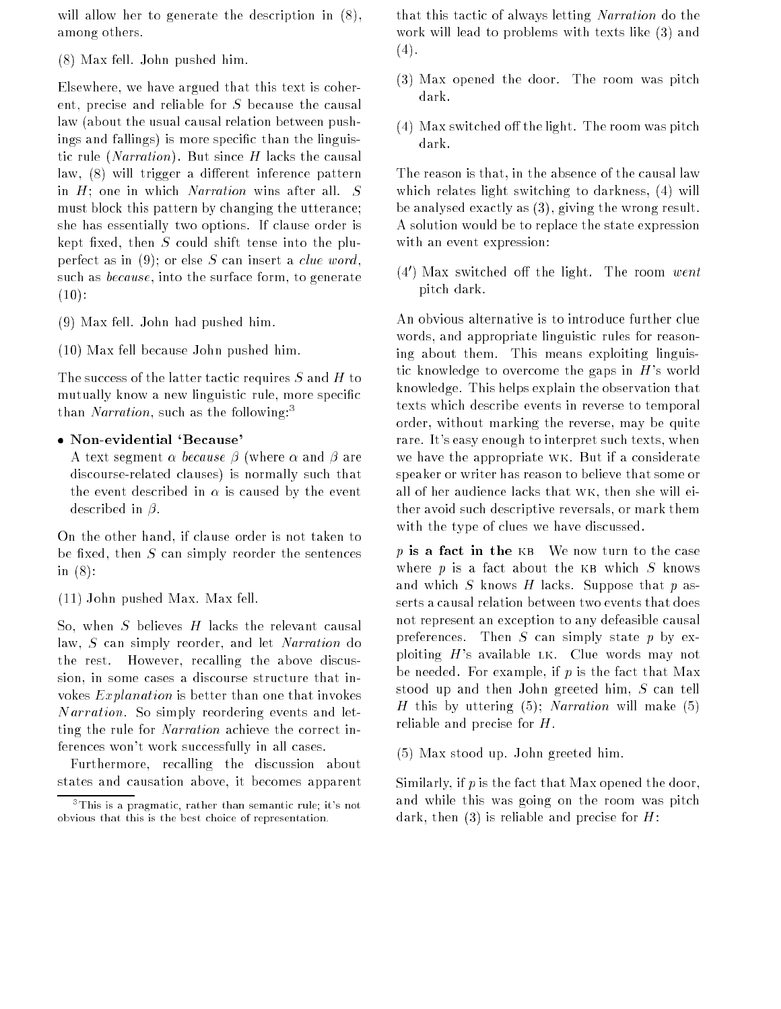will allow her to generate the description in (8), among others.

(8) Max fell. John pushed him.

Elsewhere, we have argued that this text is coherent, precise and reliable for <sup>S</sup> because the causal law (about the usual causal relation between pushings and fallings) is more specic than the linguistic rule (*Narration*). But since  $H$  lacks the causal law,  $(8)$  will trigger a different inference pattern in  $H$ ; one in which *Narration* wins after all.  $S$ must block this pattern by changing the utterance; she has essentially two options. If clause order is kept fixed, then  $S$  could shift tense into the pluperfect as in  $(9)$ ; or else S can insert a *clue word*, such as *because*, into the surface form, to generate  $(10):$ 

(9) Max fell. John had pushed him.

(10) Max fell because John pushed him.

The success of the latter tactic requires  $S$  and  $H$  to mutually know a new linguistic rule, more specific than *Narration*, such as the following:<sup>3</sup>

#### Non-evidential `Because'

A text segment  $\alpha$  because  $\beta$  (where  $\alpha$  and  $\beta$  are discourse-related clauses) is normally such that the event described in  $\alpha$  is caused by the event described in  $\beta$ .

On the other hand, if clause order is not taken to be fixed, then  $S$  can simply reorder the sentences in (8):

(11) John pushed Max. Max fell.

So, when S believes  $H$  lacks the relevant causal law, <sup>S</sup> can simply reorder, and let Narration do the rest. However, recalling the above discussion, in some cases a discourse structure that invokes  $Explanation$  is better than one that invokes Narration. So simply reordering events and letting the rule for *Narration* achieve the correct inferences won't work successfully in all cases.

Furthermore, recalling the discussion about states and causation above, it becomes apparent that this tactic of always letting Narration do the work will lead to problems with texts like (3) and  $(4).$ 

- (3) Max opened the door. The room was pitch dark.
- $(4)$  Max switched off the light. The room was pitch dark.

The reason is that, in the absence of the causal law which relates light switching to darkness, (4) will be analysed exactly as (3), giving the wrong result. A solution would be to replace the state expression with an event expression:

 $\mathfrak{t}\oplus\mathfrak{t}$  max switched on the light. The room  $wenu$ pitch dark.

An obvious alternative is to introduce further clue words, and appropriate linguistic rules for reasoning about them. This means exploiting linguistic knowledge to overcome the gaps in  $H$ 's world knowledge. This helps explain the observation that texts which describe events in reverse to temporal order, without marking the reverse, may be quite rare. It's easy enough to interpret such texts, when we have the appropriate wk. But if a considerate speaker or writer has reason to believe that some or all of her audience lacks that wk, then she will either avoid such descriptive reversals, or mark them with the type of clues we have discussed.

p is a fact in the KB We now turn to the case where  $p$  is a fact about the KB which  $S$  knows and which S knows H lacks. Suppose that  $p$  asserts a causal relation between two events that does not represent an exception to any defeasible causal preferences. Then  $S$  can simply state  $p$  by exploiting  $H$ 's available LK. Clue words may not be needed. For example, if  $p$  is the fact that Max stood up and then John greeted him, <sup>S</sup> can tell H this by uttering  $(5)$ ; Narration will make  $(5)$ reliable and precise for H.

(5) Max stood up. John greeted him.

Similarly, if <sup>p</sup> is the fact that Max opened the door, and while this was going on the room was pitch dark, then  $(3)$  is reliable and precise for H:

<sup>3</sup> This is a pragmatic, rather than semantic rule; it's not obvious that this is the best choice of representation.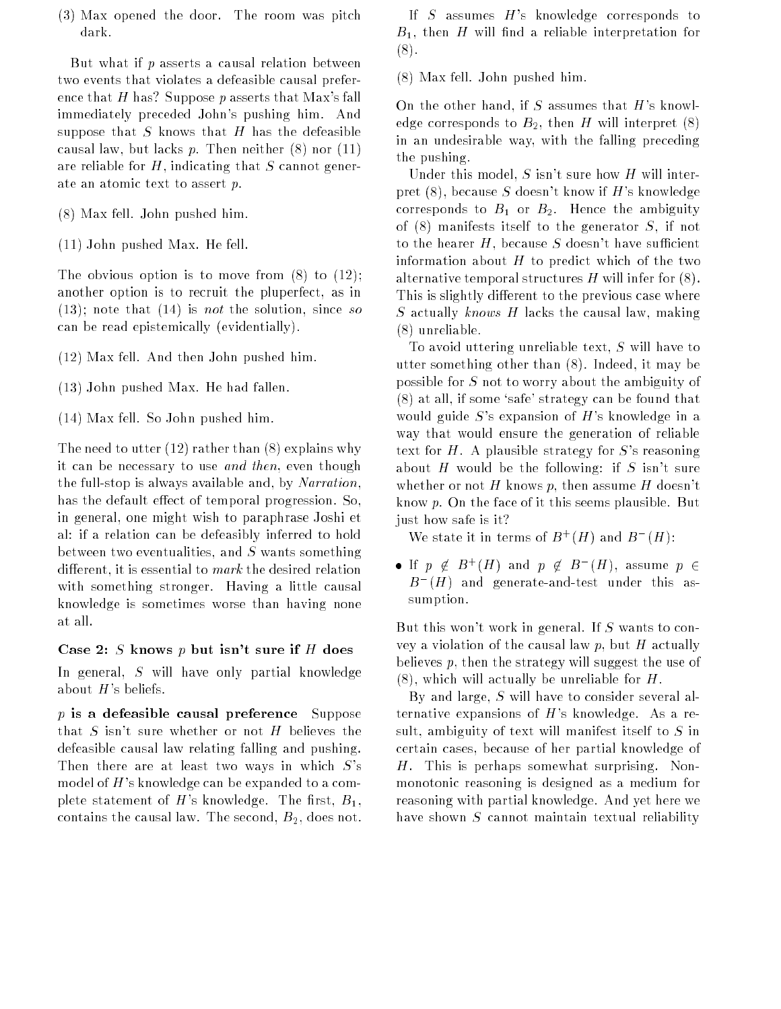(3) Max opened the door. The room was pitch dark.

But what if  $p$  asserts a causal relation between two events that violates a defeasible causal preference that H has? Suppose p asserts that Max's fall immediately preceded John's pushing him. And suppose that  $S$  knows that  $H$  has the defeasible causal law, but lacks  $p$ . Then neither  $(8)$  nor  $(11)$ are reliable for  $H$ , indicating that  $S$  cannot generate an atomic text to assert p.

- (8) Max fell. John pushed him.
- (11) John pushed Max. He fell.

The obvious option is to move from (8) to (12); another option is to recruit the pluperfect, as in  $(13)$ ; note that  $(14)$  is *not* the solution, since so can be read epistemically (evidentially).

- (12) Max fell. And then John pushed him.
- (13) John pushed Max. He had fallen.
- (14) Max fell. So John pushed him.

The need to utter (12) rather than (8) explains why it can be necessary to use and then, even though the full-stop is always available and, by Narration, has the default effect of temporal progression. So, in general, one might wish to paraphrase Joshi et al: if a relation can be defeasibly inferred to hold between two eventualities, and  $S$  wants something different, it is essential to  $mark$  the desired relation with something stronger. Having a little causal knowledge is sometimes worse than having none at all.

#### Case 2: S knows  $p$  but isn't sure if  $H$  does

In general, <sup>S</sup> will have only partial knowledge about  $H$ 's beliefs.

 $p$  is a defeasible causal preference Suppose that  $S$  isn't sure whether or not  $H$  believes the defeasible causal law relating falling and pushing. Then there are at least two ways in which  $S$ 's model of  $H$ 's knowledge can be expanded to a complete statement of H's knowledge. The first,  $B_1$ , contains the causal law. The second,  $B_2$ , does not.

If  $S$  assumes  $H$ 's knowledge corresponds to  $B_1$ , then H will find a reliable interpretation for (8).

(8) Max fell. John pushed him.

On the other hand, if  $S$  assumes that  $H$ 's knowledge corresponds to  $B_2$ , then H will interpret (8) in an undesirable way, with the falling preceding the pushing.

Under this model,  $S$  isn't sure how  $H$  will interpret  $(8)$ , because S doesn't know if H's knowledge corresponds to  $B_1$  or  $B_2$ . Hence the ambiguity of  $(8)$  manifests itself to the generator S, if not to the hearer  $H$ , because  $S$  doesn't have sufficient information about  $H$  to predict which of the two alternative temporal structures  $H$  will infer for  $(8)$ . This is slightly different to the previous case where S actually knows H lacks the causal law, making (8) unreliable.

To avoid uttering unreliable text,  $S$  will have to utter something other than (8). Indeed, it may be possible for <sup>S</sup> not to worry about the ambiguity of (8) at all, if some `safe' strategy can be found that would guide  $S$ 's expansion of  $H$ 's knowledge in a way that would ensure the generation of reliable text for  $H$ . A plausible strategy for  $S$ 's reasoning about H would be the following: if S isn't sure whether or not H knows p, then assume H doesn't know p. On the face of it this seems plausible. But just how safe is it?

We state it in terms of  $B^+(H)$  and  $B^-(H)$ :

 $\bullet$  If  $p \notin B^+(H)$  and  $p \notin B^-(H)$ , assume  $p \in$  $B$  ( $H$ ) and generate-and-test under this assumption.

But this won't work in general. If <sup>S</sup> wants to convey a violation of the causal law  $p$ , but  $H$  actually believes p, then the strategy will suggest the use of  $(8)$ , which will actually be unreliable for H.

By and large, <sup>S</sup> will have to consider several alternative expansions of  $H$ 's knowledge. As a result, ambiguity of text will manifest itself to <sup>S</sup> in certain cases, because of her partial knowledge of H. This is perhaps somewhat surprising. Nonmonotonic reasoning is designed as a medium for reasoning with partial knowledge. And yet here we have shown  $S$  cannot maintain textual reliability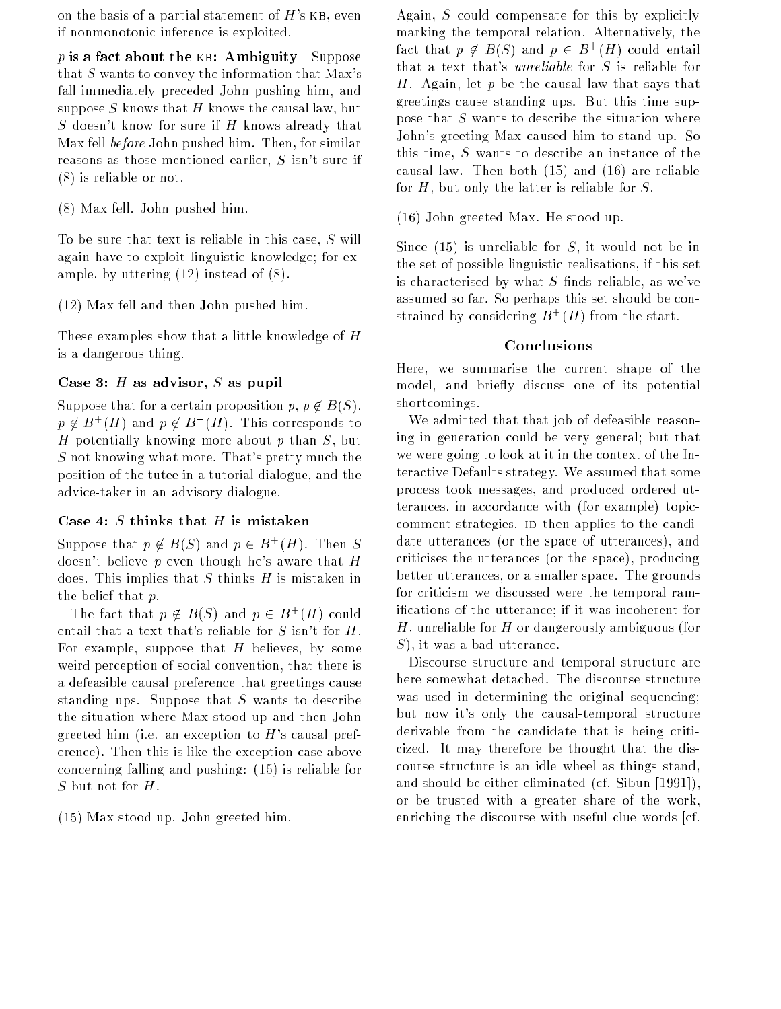on the basis of a partial statement of  $H$ 's KB, even if nonmonotonic inference is exploited.

p is a fact about the KB: Ambiguity Suppose that  $S$  wants to convey the information that Max's fall immediately preceded John pushing him, and suppose S knows that H knows the causal law, but S doesn't know for sure if  $H$  knows already that Max fell before John pushed him. Then, for similar reasons as those mentioned earlier,  $S$  isn't sure if (8) is reliable or not.

(8) Max fell. John pushed him.

To be sure that text is reliable in this case, <sup>S</sup> will again have to exploit linguistic knowledge; for example, by uttering (12) instead of (8).

(12) Max fell and then John pushed him.

These examples show that a little knowledge of H is a dangerous thing.

#### Case 3:  $H$  as advisor,  $S$  as pupil

Suppose that for a certain proposition  $p, p \notin B(S)$ ,  $p \notin B^+(H)$  and  $p \notin B^-(H)$ . This corresponds to H potentially knowing more about  $p$  than  $S$ , but <sup>S</sup> not knowing what more. That's pretty much the position of the tutee in a tutorial dialogue, and the advice-taker in an advisory dialogue.

#### Case 4: S thinks that  $H$  is mistaken

Suppose that  $p \notin B(S)$  and  $p \in B^+(H)$ . Then S doesn't believe p even though he's aware that  $H$ does. This implies that S thinks  $H$  is mistaken in the belief that p.

The fact that  $p \notin B(S)$  and  $p \in B^+(H)$  could entail that a text that's reliable for  $S$  isn't for  $H$ . For example, suppose that  $H$  believes, by some weird perception of social convention, that there is a defeasible causal preference that greetings cause standing ups. Suppose that  $S$  wants to describe the situation where Max stood up and then John greeted him (i.e. an exception to  $H$ 's causal preference). Then this is like the exception case above concerning falling and pushing: (15) is reliable for  $S$  but not for  $H$ .

(15) Max stood up. John greeted him.

Again, <sup>S</sup> could compensate for this by explicitly marking the temporal relation. Alternatively, the ract that  $p \notin B(S)$  and  $p \in B^+(H)$  could entail that a text that's unreliable for <sup>S</sup> is reliable for H. Again, let  $p$  be the causal law that says that greetings cause standing ups. But this time suppose that  $S$  wants to describe the situation where John's greeting Max caused him to stand up. So this time, <sup>S</sup> wants to describe an instance of the causal law. Then both (15) and (16) are reliable for  $H$ , but only the latter is reliable for  $S$ .

(16) John greeted Max. He stood up.

Since  $(15)$  is unreliable for S, it would not be in the set of possible linguistic realisations, if this set is characterised by what  $S$  finds reliable, as we've assumed so far. So perhaps this set should be constrained by considering  $B^+(H)$  from the start.

#### Conclusions

Here, we summarise the current shape of the model, and briefly discuss one of its potential shortcomings.

We admitted that that job of defeasible reasoning in generation could be very general; but that we were going to look at it in the context of the Interactive Defaults strategy. We assumed that some process took messages, and produced ordered utterances, in accordance with (for example) topiccomment strategies. ID then applies to the candidate utterances (or the space of utterances), and criticises the utterances (or the space), producing better utterances, or a smaller space. The grounds for criticism we discussed were the temporal ramications of the utterance; if it was incoherent for H, unreliable for H or dangerously ambiguous (for S), it was a bad utterance.

Discourse structure and temporal structure are here somewhat detached. The discourse structure was used in determining the original sequencing; but now it's only the causal-temporal structure derivable from the candidate that is being criticized. It may therefore be thought that the discourse structure is an idle wheel as things stand, and should be either eliminated (cf. Sibun [1991]), or be trusted with a greater share of the work, enriching the discourse with useful clue words [cf.